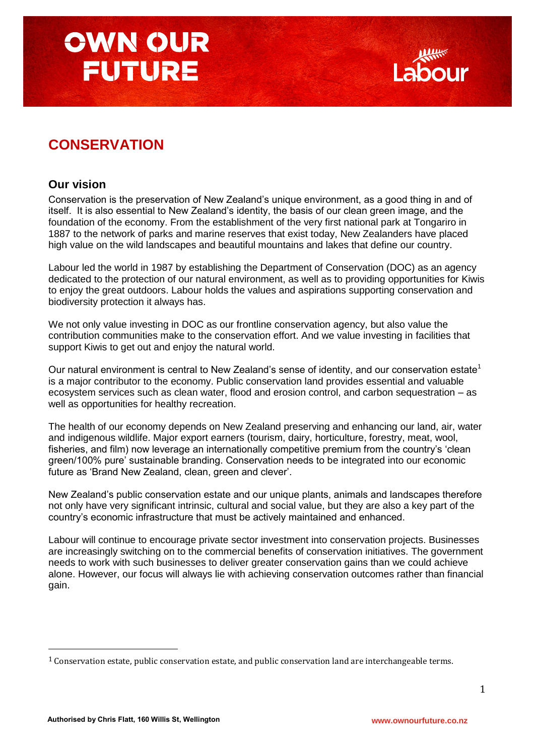### **CONSERVATION**

### **Our vision**

Conservation is the preservation of New Zealand"s unique environment, as a good thing in and of itself. It is also essential to New Zealand"s identity, the basis of our clean green image, and the foundation of the economy. From the establishment of the very first national park at Tongariro in 1887 to the network of parks and marine reserves that exist today, New Zealanders have placed high value on the wild landscapes and beautiful mountains and lakes that define our country.

Labour led the world in 1987 by establishing the Department of Conservation (DOC) as an agency dedicated to the protection of our natural environment, as well as to providing opportunities for Kiwis to enjoy the great outdoors. Labour holds the values and aspirations supporting conservation and biodiversity protection it always has.

We not only value investing in DOC as our frontline conservation agency, but also value the contribution communities make to the conservation effort. And we value investing in facilities that support Kiwis to get out and enjoy the natural world.

Our natural environment is central to New Zealand's sense of identity, and our conservation estate<sup>1</sup> is a major contributor to the economy. Public conservation land provides essential and valuable ecosystem services such as clean water, flood and erosion control, and carbon sequestration – as well as opportunities for healthy recreation.

The health of our economy depends on New Zealand preserving and enhancing our land, air, water and indigenous wildlife. Major export earners (tourism, dairy, horticulture, forestry, meat, wool, fisheries, and film) now leverage an internationally competitive premium from the country"s "clean green/100% pure" sustainable branding. Conservation needs to be integrated into our economic future as 'Brand New Zealand, clean, green and clever'.

New Zealand"s public conservation estate and our unique plants, animals and landscapes therefore not only have very significant intrinsic, cultural and social value, but they are also a key part of the country"s economic infrastructure that must be actively maintained and enhanced.

Labour will continue to encourage private sector investment into conservation projects. Businesses are increasingly switching on to the commercial benefits of conservation initiatives. The government needs to work with such businesses to deliver greater conservation gains than we could achieve alone. However, our focus will always lie with achieving conservation outcomes rather than financial gain.

 $\overline{a}$ 

<sup>&</sup>lt;sup>1</sup> Conservation estate, public conservation estate, and public conservation land are interchangeable terms.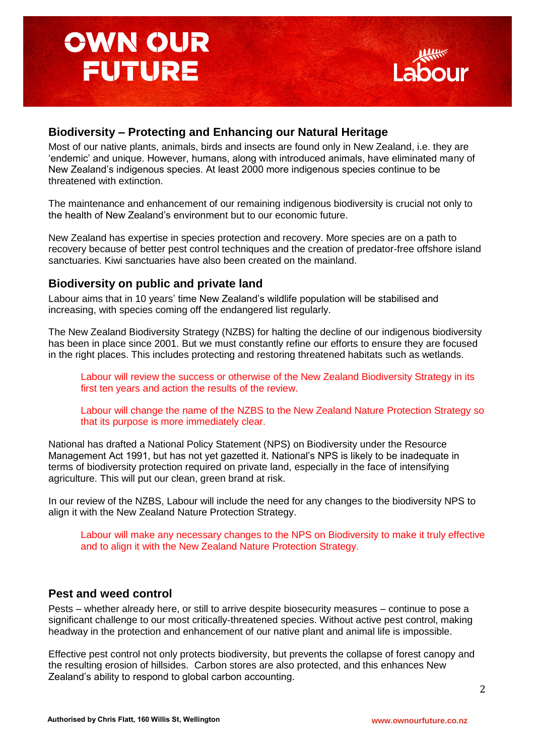

### **Biodiversity – Protecting and Enhancing our Natural Heritage**

Most of our native plants, animals, birds and insects are found only in New Zealand, i.e. they are "endemic" and unique. However, humans, along with introduced animals, have eliminated many of New Zealand"s indigenous species. At least 2000 more indigenous species continue to be threatened with extinction.

The maintenance and enhancement of our remaining indigenous biodiversity is crucial not only to the health of New Zealand"s environment but to our economic future.

New Zealand has expertise in species protection and recovery. More species are on a path to recovery because of better pest control techniques and the creation of predator-free offshore island sanctuaries. Kiwi sanctuaries have also been created on the mainland.

### **Biodiversity on public and private land**

Labour aims that in 10 years" time New Zealand"s wildlife population will be stabilised and increasing, with species coming off the endangered list regularly.

The New Zealand Biodiversity Strategy (NZBS) for halting the decline of our indigenous biodiversity has been in place since 2001. But we must constantly refine our efforts to ensure they are focused in the right places. This includes protecting and restoring threatened habitats such as wetlands.

Labour will review the success or otherwise of the New Zealand Biodiversity Strategy in its first ten years and action the results of the review.

Labour will change the name of the NZBS to the New Zealand Nature Protection Strategy so that its purpose is more immediately clear.

National has drafted a National Policy Statement (NPS) on Biodiversity under the Resource Management Act 1991, but has not yet gazetted it. National"s NPS is likely to be inadequate in terms of biodiversity protection required on private land, especially in the face of intensifying agriculture. This will put our clean, green brand at risk.

In our review of the NZBS, Labour will include the need for any changes to the biodiversity NPS to align it with the New Zealand Nature Protection Strategy.

Labour will make any necessary changes to the NPS on Biodiversity to make it truly effective and to align it with the New Zealand Nature Protection Strategy.

### **Pest and weed control**

Pests – whether already here, or still to arrive despite biosecurity measures – continue to pose a significant challenge to our most critically-threatened species. Without active pest control, making headway in the protection and enhancement of our native plant and animal life is impossible.

Effective pest control not only protects biodiversity, but prevents the collapse of forest canopy and the resulting erosion of hillsides. Carbon stores are also protected, and this enhances New Zealand"s ability to respond to global carbon accounting.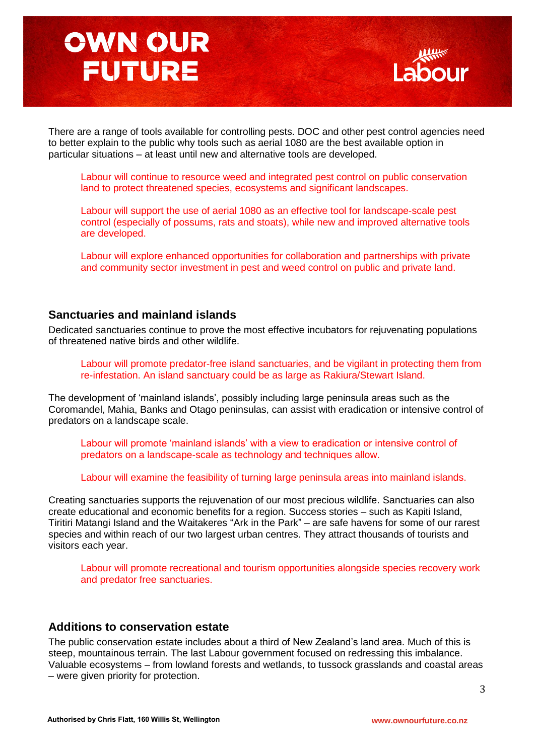

There are a range of tools available for controlling pests. DOC and other pest control agencies need to better explain to the public why tools such as aerial 1080 are the best available option in particular situations – at least until new and alternative tools are developed.

Labour will continue to resource weed and integrated pest control on public conservation land to protect threatened species, ecosystems and significant landscapes.

Labour will support the use of aerial 1080 as an effective tool for landscape-scale pest control (especially of possums, rats and stoats), while new and improved alternative tools are developed.

Labour will explore enhanced opportunities for collaboration and partnerships with private and community sector investment in pest and weed control on public and private land.

#### **Sanctuaries and mainland islands**

Dedicated sanctuaries continue to prove the most effective incubators for rejuvenating populations of threatened native birds and other wildlife.

Labour will promote predator-free island sanctuaries, and be vigilant in protecting them from re-infestation. An island sanctuary could be as large as Rakiura/Stewart Island.

The development of "mainland islands", possibly including large peninsula areas such as the Coromandel, Mahia, Banks and Otago peninsulas, can assist with eradication or intensive control of predators on a landscape scale.

Labour will promote 'mainland islands' with a view to eradication or intensive control of predators on a landscape-scale as technology and techniques allow.

Labour will examine the feasibility of turning large peninsula areas into mainland islands.

Creating sanctuaries supports the rejuvenation of our most precious wildlife. Sanctuaries can also create educational and economic benefits for a region. Success stories – such as Kapiti Island, Tiritiri Matangi Island and the Waitakeres "Ark in the Park" – are safe havens for some of our rarest species and within reach of our two largest urban centres. They attract thousands of tourists and visitors each year.

Labour will promote recreational and tourism opportunities alongside species recovery work and predator free sanctuaries.

#### **Additions to conservation estate**

The public conservation estate includes about a third of New Zealand"s land area. Much of this is steep, mountainous terrain. The last Labour government focused on redressing this imbalance. Valuable ecosystems – from lowland forests and wetlands, to tussock grasslands and coastal areas – were given priority for protection.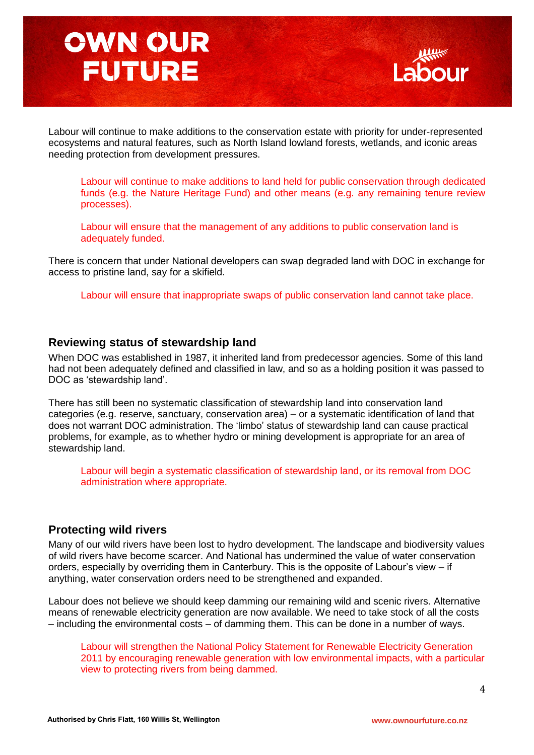

Labour will continue to make additions to the conservation estate with priority for under-represented ecosystems and natural features, such as North Island lowland forests, wetlands, and iconic areas needing protection from development pressures.

Labour will continue to make additions to land held for public conservation through dedicated funds (e.g. the Nature Heritage Fund) and other means (e.g. any remaining tenure review processes).

Labour will ensure that the management of any additions to public conservation land is adequately funded.

There is concern that under National developers can swap degraded land with DOC in exchange for access to pristine land, say for a skifield.

Labour will ensure that inappropriate swaps of public conservation land cannot take place.

#### **Reviewing status of stewardship land**

When DOC was established in 1987, it inherited land from predecessor agencies. Some of this land had not been adequately defined and classified in law, and so as a holding position it was passed to DOC as "stewardship land".

There has still been no systematic classification of stewardship land into conservation land categories (e.g. reserve, sanctuary, conservation area) – or a systematic identification of land that does not warrant DOC administration. The "limbo" status of stewardship land can cause practical problems, for example, as to whether hydro or mining development is appropriate for an area of stewardship land.

Labour will begin a systematic classification of stewardship land, or its removal from DOC administration where appropriate.

#### **Protecting wild rivers**

Many of our wild rivers have been lost to hydro development. The landscape and biodiversity values of wild rivers have become scarcer. And National has undermined the value of water conservation orders, especially by overriding them in Canterbury. This is the opposite of Labour"s view – if anything, water conservation orders need to be strengthened and expanded.

Labour does not believe we should keep damming our remaining wild and scenic rivers. Alternative means of renewable electricity generation are now available. We need to take stock of all the costs – including the environmental costs – of damming them. This can be done in a number of ways.

Labour will strengthen the National Policy Statement for Renewable Electricity Generation 2011 by encouraging renewable generation with low environmental impacts, with a particular view to protecting rivers from being dammed.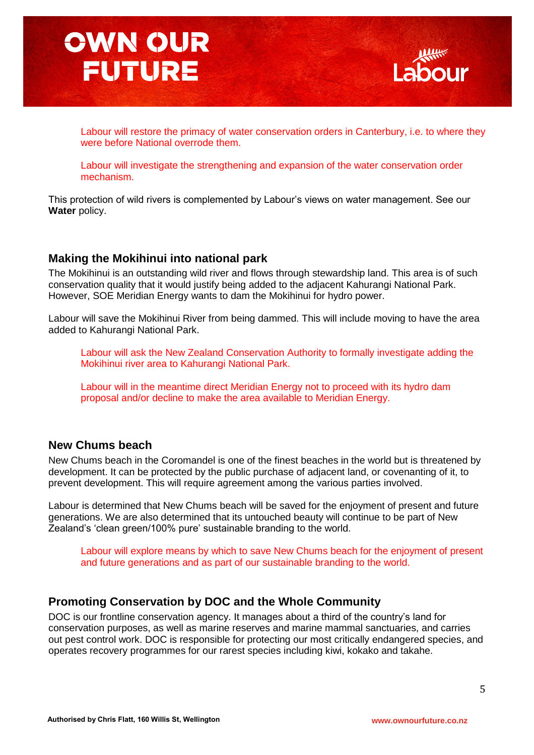

Labour will restore the primacy of water conservation orders in Canterbury, i.e. to where they were before National overrode them.

Labour will investigate the strengthening and expansion of the water conservation order mechanism.

This protection of wild rivers is complemented by Labour"s views on water management. See our **Water** policy.

### **Making the Mokihinui into national park**

The Mokihinui is an outstanding wild river and flows through stewardship land. This area is of such conservation quality that it would justify being added to the adjacent Kahurangi National Park. However, SOE Meridian Energy wants to dam the Mokihinui for hydro power.

Labour will save the Mokihinui River from being dammed. This will include moving to have the area added to Kahurangi National Park.

Labour will ask the New Zealand Conservation Authority to formally investigate adding the Mokihinui river area to Kahurangi National Park.

Labour will in the meantime direct Meridian Energy not to proceed with its hydro dam proposal and/or decline to make the area available to Meridian Energy.

### **New Chums beach**

New Chums beach in the Coromandel is one of the finest beaches in the world but is threatened by development. It can be protected by the public purchase of adjacent land, or covenanting of it, to prevent development. This will require agreement among the various parties involved.

Labour is determined that New Chums beach will be saved for the enjoyment of present and future generations. We are also determined that its untouched beauty will continue to be part of New Zealand's 'clean green/100% pure' sustainable branding to the world.

Labour will explore means by which to save New Chums beach for the enjoyment of present and future generations and as part of our sustainable branding to the world.

### **Promoting Conservation by DOC and the Whole Community**

DOC is our frontline conservation agency. It manages about a third of the country"s land for conservation purposes, as well as marine reserves and marine mammal sanctuaries, and carries out pest control work. DOC is responsible for protecting our most critically endangered species, and operates recovery programmes for our rarest species including kiwi, kokako and takahe.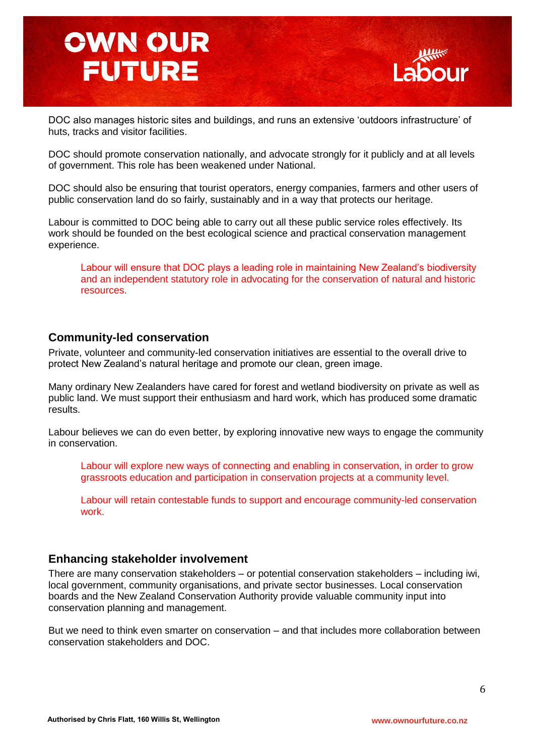

DOC also manages historic sites and buildings, and runs an extensive "outdoors infrastructure" of huts, tracks and visitor facilities.

DOC should promote conservation nationally, and advocate strongly for it publicly and at all levels of government. This role has been weakened under National.

DOC should also be ensuring that tourist operators, energy companies, farmers and other users of public conservation land do so fairly, sustainably and in a way that protects our heritage.

Labour is committed to DOC being able to carry out all these public service roles effectively. Its work should be founded on the best ecological science and practical conservation management experience.

Labour will ensure that DOC plays a leading role in maintaining New Zealand"s biodiversity and an independent statutory role in advocating for the conservation of natural and historic resources.

#### **Community-led conservation**

Private, volunteer and community-led conservation initiatives are essential to the overall drive to protect New Zealand"s natural heritage and promote our clean, green image.

Many ordinary New Zealanders have cared for forest and wetland biodiversity on private as well as public land. We must support their enthusiasm and hard work, which has produced some dramatic results.

Labour believes we can do even better, by exploring innovative new ways to engage the community in conservation.

Labour will explore new ways of connecting and enabling in conservation, in order to grow grassroots education and participation in conservation projects at a community level.

Labour will retain contestable funds to support and encourage community-led conservation work.

#### **Enhancing stakeholder involvement**

There are many conservation stakeholders – or potential conservation stakeholders – including iwi, local government, community organisations, and private sector businesses. Local conservation boards and the New Zealand Conservation Authority provide valuable community input into conservation planning and management.

But we need to think even smarter on conservation – and that includes more collaboration between conservation stakeholders and DOC.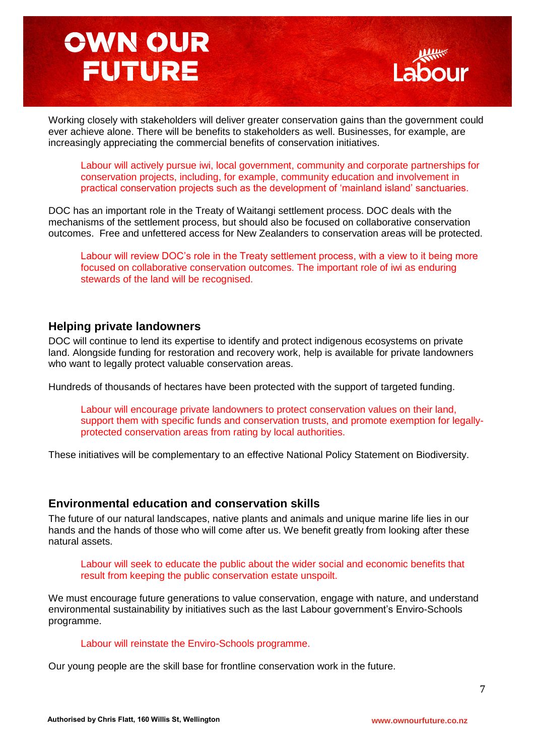

Working closely with stakeholders will deliver greater conservation gains than the government could ever achieve alone. There will be benefits to stakeholders as well. Businesses, for example, are increasingly appreciating the commercial benefits of conservation initiatives.

Labour will actively pursue iwi, local government, community and corporate partnerships for conservation projects, including, for example, community education and involvement in practical conservation projects such as the development of "mainland island" sanctuaries.

DOC has an important role in the Treaty of Waitangi settlement process. DOC deals with the mechanisms of the settlement process, but should also be focused on collaborative conservation outcomes. Free and unfettered access for New Zealanders to conservation areas will be protected.

Labour will review DOC"s role in the Treaty settlement process, with a view to it being more focused on collaborative conservation outcomes. The important role of iwi as enduring stewards of the land will be recognised.

### **Helping private landowners**

DOC will continue to lend its expertise to identify and protect indigenous ecosystems on private land. Alongside funding for restoration and recovery work, help is available for private landowners who want to legally protect valuable conservation areas.

Hundreds of thousands of hectares have been protected with the support of targeted funding.

Labour will encourage private landowners to protect conservation values on their land, support them with specific funds and conservation trusts, and promote exemption for legallyprotected conservation areas from rating by local authorities.

These initiatives will be complementary to an effective National Policy Statement on Biodiversity.

#### **Environmental education and conservation skills**

The future of our natural landscapes, native plants and animals and unique marine life lies in our hands and the hands of those who will come after us. We benefit greatly from looking after these natural assets.

Labour will seek to educate the public about the wider social and economic benefits that result from keeping the public conservation estate unspoilt.

We must encourage future generations to value conservation, engage with nature, and understand environmental sustainability by initiatives such as the last Labour government's Enviro-Schools programme.

Labour will reinstate the Enviro-Schools programme.

Our young people are the skill base for frontline conservation work in the future.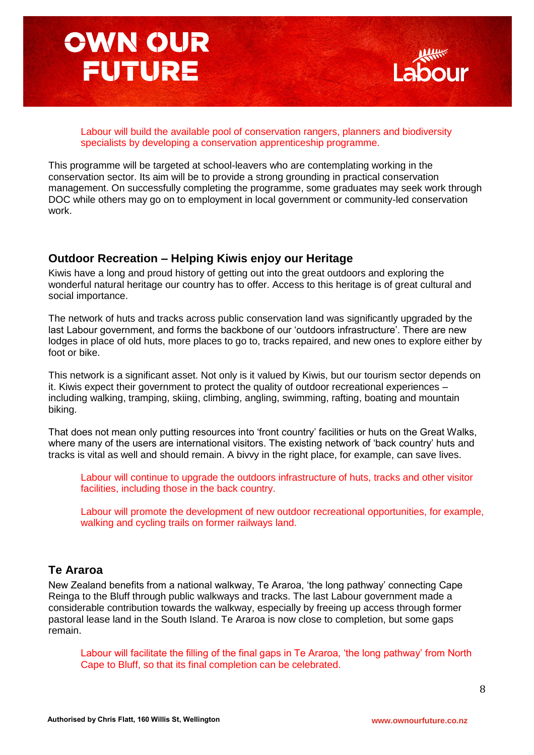

Labour will build the available pool of conservation rangers, planners and biodiversity specialists by developing a conservation apprenticeship programme.

This programme will be targeted at school-leavers who are contemplating working in the conservation sector. Its aim will be to provide a strong grounding in practical conservation management. On successfully completing the programme, some graduates may seek work through DOC while others may go on to employment in local government or community-led conservation work.

### **Outdoor Recreation – Helping Kiwis enjoy our Heritage**

Kiwis have a long and proud history of getting out into the great outdoors and exploring the wonderful natural heritage our country has to offer. Access to this heritage is of great cultural and social importance.

The network of huts and tracks across public conservation land was significantly upgraded by the last Labour government, and forms the backbone of our 'outdoors infrastructure'. There are new lodges in place of old huts, more places to go to, tracks repaired, and new ones to explore either by foot or bike.

This network is a significant asset. Not only is it valued by Kiwis, but our tourism sector depends on it. Kiwis expect their government to protect the quality of outdoor recreational experiences – including walking, tramping, skiing, climbing, angling, swimming, rafting, boating and mountain biking.

That does not mean only putting resources into "front country" facilities or huts on the Great Walks, where many of the users are international visitors. The existing network of "back country" huts and tracks is vital as well and should remain. A bivvy in the right place, for example, can save lives.

Labour will continue to upgrade the outdoors infrastructure of huts, tracks and other visitor facilities, including those in the back country.

Labour will promote the development of new outdoor recreational opportunities, for example, walking and cycling trails on former railways land.

### **Te Araroa**

New Zealand benefits from a national walkway, Te Araroa, "the long pathway" connecting Cape Reinga to the Bluff through public walkways and tracks. The last Labour government made a considerable contribution towards the walkway, especially by freeing up access through former pastoral lease land in the South Island. Te Araroa is now close to completion, but some gaps remain.

Labour will facilitate the filling of the final gaps in Te Araroa, "the long pathway" from North Cape to Bluff, so that its final completion can be celebrated.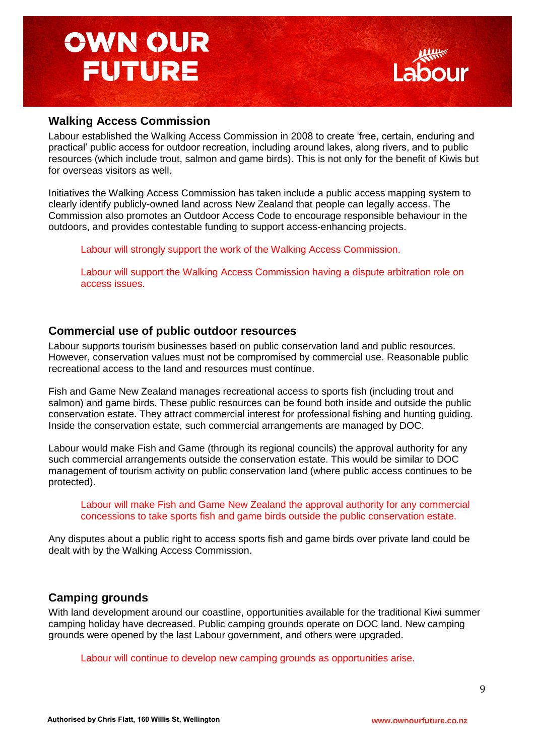### **Walking Access Commission**

Labour established the Walking Access Commission in 2008 to create "free, certain, enduring and practical" public access for outdoor recreation, including around lakes, along rivers, and to public resources (which include trout, salmon and game birds). This is not only for the benefit of Kiwis but for overseas visitors as well.

Initiatives the Walking Access Commission has taken include a public access mapping system to clearly identify publicly-owned land across New Zealand that people can legally access. The Commission also promotes an Outdoor Access Code to encourage responsible behaviour in the outdoors, and provides contestable funding to support access-enhancing projects.

Labour will strongly support the work of the Walking Access Commission.

Labour will support the Walking Access Commission having a dispute arbitration role on access issues.

### **Commercial use of public outdoor resources**

Labour supports tourism businesses based on public conservation land and public resources. However, conservation values must not be compromised by commercial use. Reasonable public recreational access to the land and resources must continue.

Fish and Game New Zealand manages recreational access to sports fish (including trout and salmon) and game birds. These public resources can be found both inside and outside the public conservation estate. They attract commercial interest for professional fishing and hunting guiding. Inside the conservation estate, such commercial arrangements are managed by DOC.

Labour would make Fish and Game (through its regional councils) the approval authority for any such commercial arrangements outside the conservation estate. This would be similar to DOC management of tourism activity on public conservation land (where public access continues to be protected).

Labour will make Fish and Game New Zealand the approval authority for any commercial concessions to take sports fish and game birds outside the public conservation estate.

Any disputes about a public right to access sports fish and game birds over private land could be dealt with by the Walking Access Commission.

### **Camping grounds**

With land development around our coastline, opportunities available for the traditional Kiwi summer camping holiday have decreased. Public camping grounds operate on DOC land. New camping grounds were opened by the last Labour government, and others were upgraded.

Labour will continue to develop new camping grounds as opportunities arise.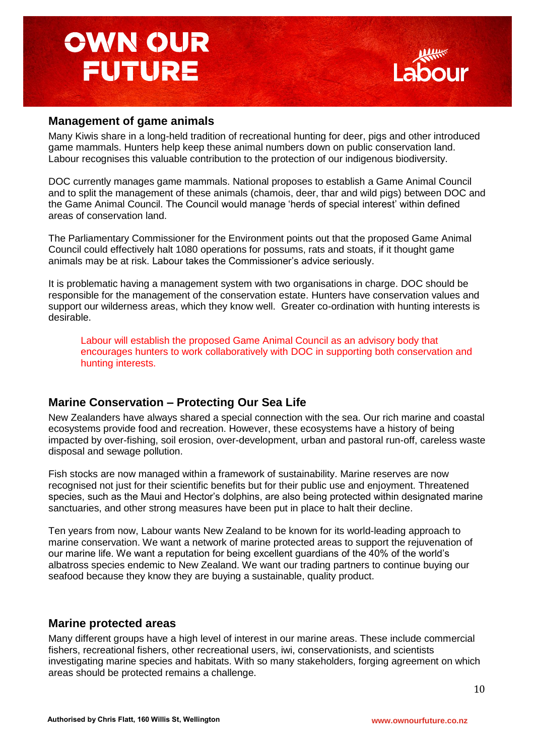### **Management of game animals**

Many Kiwis share in a long-held tradition of recreational hunting for deer, pigs and other introduced game mammals. Hunters help keep these animal numbers down on public conservation land. Labour recognises this valuable contribution to the protection of our indigenous biodiversity.

DOC currently manages game mammals. National proposes to establish a Game Animal Council and to split the management of these animals (chamois, deer, thar and wild pigs) between DOC and the Game Animal Council. The Council would manage "herds of special interest" within defined areas of conservation land.

The Parliamentary Commissioner for the Environment points out that the proposed Game Animal Council could effectively halt 1080 operations for possums, rats and stoats, if it thought game animals may be at risk. Labour takes the Commissioner"s advice seriously.

It is problematic having a management system with two organisations in charge. DOC should be responsible for the management of the conservation estate. Hunters have conservation values and support our wilderness areas, which they know well. Greater co-ordination with hunting interests is desirable.

Labour will establish the proposed Game Animal Council as an advisory body that encourages hunters to work collaboratively with DOC in supporting both conservation and hunting interests.

### **Marine Conservation – Protecting Our Sea Life**

New Zealanders have always shared a special connection with the sea. Our rich marine and coastal ecosystems provide food and recreation. However, these ecosystems have a history of being impacted by over-fishing, soil erosion, over-development, urban and pastoral run-off, careless waste disposal and sewage pollution.

Fish stocks are now managed within a framework of sustainability. Marine reserves are now recognised not just for their scientific benefits but for their public use and enjoyment. Threatened species, such as the Maui and Hector"s dolphins, are also being protected within designated marine sanctuaries, and other strong measures have been put in place to halt their decline.

Ten years from now, Labour wants New Zealand to be known for its world-leading approach to marine conservation. We want a network of marine protected areas to support the rejuvenation of our marine life. We want a reputation for being excellent guardians of the 40% of the world"s albatross species endemic to New Zealand. We want our trading partners to continue buying our seafood because they know they are buying a sustainable, quality product.

#### **Marine protected areas**

Many different groups have a high level of interest in our marine areas. These include commercial fishers, recreational fishers, other recreational users, iwi, conservationists, and scientists investigating marine species and habitats. With so many stakeholders, forging agreement on which areas should be protected remains a challenge.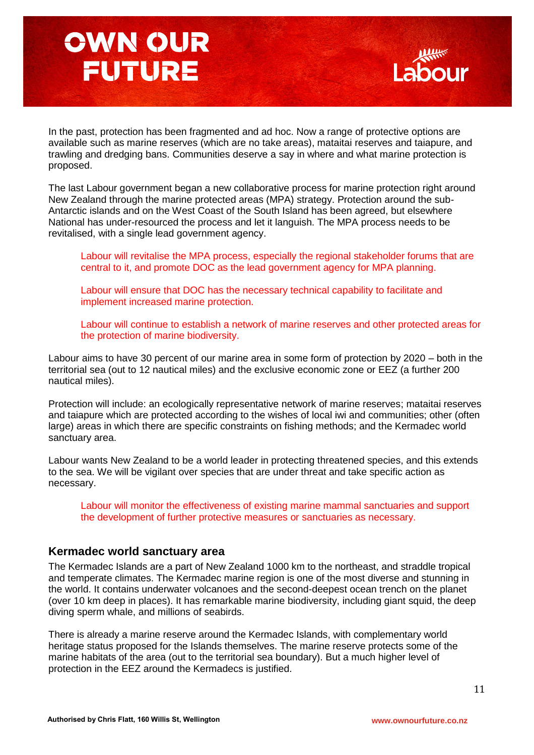In the past, protection has been fragmented and ad hoc. Now a range of protective options are available such as marine reserves (which are no take areas), mataitai reserves and taiapure, and trawling and dredging bans. Communities deserve a say in where and what marine protection is proposed.

The last Labour government began a new collaborative process for marine protection right around New Zealand through the marine protected areas (MPA) strategy. Protection around the sub-Antarctic islands and on the West Coast of the South Island has been agreed, but elsewhere National has under-resourced the process and let it languish. The MPA process needs to be revitalised, with a single lead government agency.

Labour will revitalise the MPA process, especially the regional stakeholder forums that are central to it, and promote DOC as the lead government agency for MPA planning.

Labour will ensure that DOC has the necessary technical capability to facilitate and implement increased marine protection.

Labour will continue to establish a network of marine reserves and other protected areas for the protection of marine biodiversity.

Labour aims to have 30 percent of our marine area in some form of protection by 2020 – both in the territorial sea (out to 12 nautical miles) and the exclusive economic zone or EEZ (a further 200 nautical miles).

Protection will include: an ecologically representative network of marine reserves; mataitai reserves and taiapure which are protected according to the wishes of local iwi and communities; other (often large) areas in which there are specific constraints on fishing methods; and the Kermadec world sanctuary area.

Labour wants New Zealand to be a world leader in protecting threatened species, and this extends to the sea. We will be vigilant over species that are under threat and take specific action as necessary.

Labour will monitor the effectiveness of existing marine mammal sanctuaries and support the development of further protective measures or sanctuaries as necessary.

#### **Kermadec world sanctuary area**

The Kermadec Islands are a part of New Zealand 1000 km to the northeast, and straddle tropical and temperate climates. The Kermadec marine region is one of the most diverse and stunning in the world. It contains underwater volcanoes and the second-deepest ocean trench on the planet (over 10 km deep in places). It has remarkable marine biodiversity, including giant squid, the deep diving sperm whale, and millions of seabirds.

There is already a marine reserve around the Kermadec Islands, with complementary world heritage status proposed for the Islands themselves. The marine reserve protects some of the marine habitats of the area (out to the territorial sea boundary). But a much higher level of protection in the EEZ around the Kermadecs is justified.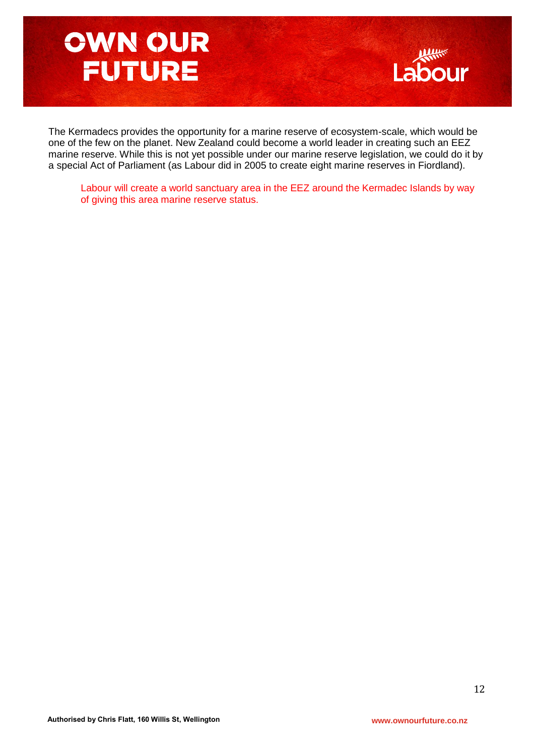

The Kermadecs provides the opportunity for a marine reserve of ecosystem-scale, which would be one of the few on the planet. New Zealand could become a world leader in creating such an EEZ marine reserve. While this is not yet possible under our marine reserve legislation, we could do it by a special Act of Parliament (as Labour did in 2005 to create eight marine reserves in Fiordland).

Labour will create a world sanctuary area in the EEZ around the Kermadec Islands by way of giving this area marine reserve status.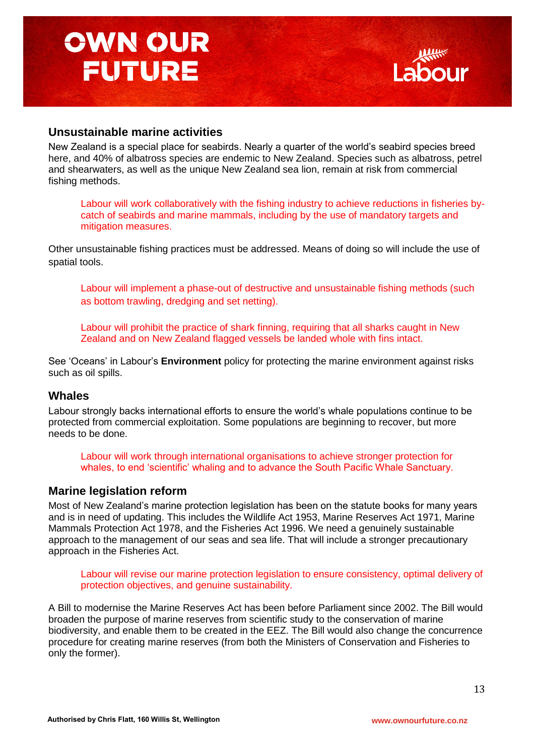

### **Unsustainable marine activities**

New Zealand is a special place for seabirds. Nearly a quarter of the world"s seabird species breed here, and 40% of albatross species are endemic to New Zealand. Species such as albatross, petrel and shearwaters, as well as the unique New Zealand sea lion, remain at risk from commercial fishing methods.

Labour will work collaboratively with the fishing industry to achieve reductions in fisheries bycatch of seabirds and marine mammals, including by the use of mandatory targets and mitigation measures.

Other unsustainable fishing practices must be addressed. Means of doing so will include the use of spatial tools.

Labour will implement a phase-out of destructive and unsustainable fishing methods (such as bottom trawling, dredging and set netting).

Labour will prohibit the practice of shark finning, requiring that all sharks caught in New Zealand and on New Zealand flagged vessels be landed whole with fins intact.

See "Oceans" in Labour"s **Environment** policy for protecting the marine environment against risks such as oil spills.

#### **Whales**

Labour strongly backs international efforts to ensure the world"s whale populations continue to be protected from commercial exploitation. Some populations are beginning to recover, but more needs to be done.

Labour will work through international organisations to achieve stronger protection for whales, to end "scientific" whaling and to advance the South Pacific Whale Sanctuary.

#### **Marine legislation reform**

Most of New Zealand"s marine protection legislation has been on the statute books for many years and is in need of updating. This includes the Wildlife Act 1953, Marine Reserves Act 1971, Marine Mammals Protection Act 1978, and the Fisheries Act 1996. We need a genuinely sustainable approach to the management of our seas and sea life. That will include a stronger precautionary approach in the Fisheries Act.

Labour will revise our marine protection legislation to ensure consistency, optimal delivery of protection objectives, and genuine sustainability.

A Bill to modernise the Marine Reserves Act has been before Parliament since 2002. The Bill would broaden the purpose of marine reserves from scientific study to the conservation of marine biodiversity, and enable them to be created in the EEZ. The Bill would also change the concurrence procedure for creating marine reserves (from both the Ministers of Conservation and Fisheries to only the former).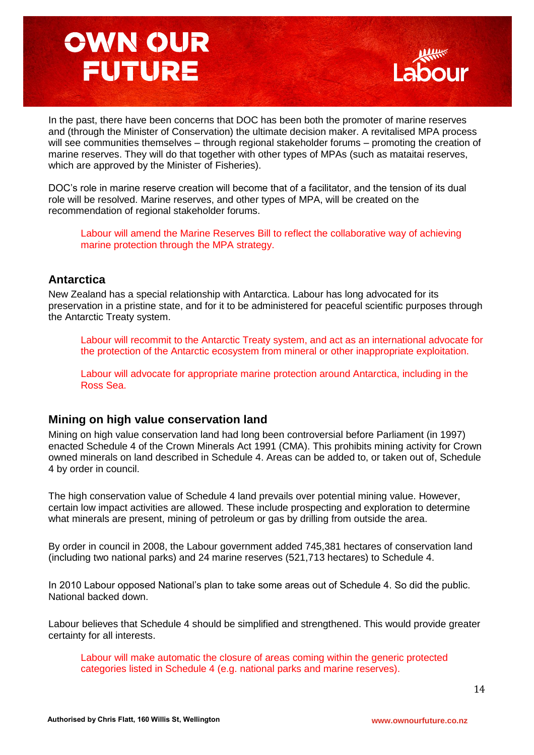

In the past, there have been concerns that DOC has been both the promoter of marine reserves and (through the Minister of Conservation) the ultimate decision maker. A revitalised MPA process will see communities themselves – through regional stakeholder forums – promoting the creation of marine reserves. They will do that together with other types of MPAs (such as mataitai reserves, which are approved by the Minister of Fisheries).

DOC"s role in marine reserve creation will become that of a facilitator, and the tension of its dual role will be resolved. Marine reserves, and other types of MPA, will be created on the recommendation of regional stakeholder forums.

Labour will amend the Marine Reserves Bill to reflect the collaborative way of achieving marine protection through the MPA strategy.

### **Antarctica**

New Zealand has a special relationship with Antarctica. Labour has long advocated for its preservation in a pristine state, and for it to be administered for peaceful scientific purposes through the Antarctic Treaty system.

Labour will recommit to the Antarctic Treaty system, and act as an international advocate for the protection of the Antarctic ecosystem from mineral or other inappropriate exploitation.

Labour will advocate for appropriate marine protection around Antarctica, including in the Ross Sea.

### **Mining on high value conservation land**

Mining on high value conservation land had long been controversial before Parliament (in 1997) enacted Schedule 4 of the Crown Minerals Act 1991 (CMA). This prohibits mining activity for Crown owned minerals on land described in Schedule 4. Areas can be added to, or taken out of, Schedule 4 by order in council.

The high conservation value of Schedule 4 land prevails over potential mining value. However, certain low impact activities are allowed. These include prospecting and exploration to determine what minerals are present, mining of petroleum or gas by drilling from outside the area.

By order in council in 2008, the Labour government added 745,381 hectares of conservation land (including two national parks) and 24 marine reserves (521,713 hectares) to Schedule 4.

In 2010 Labour opposed National"s plan to take some areas out of Schedule 4. So did the public. National backed down.

Labour believes that Schedule 4 should be simplified and strengthened. This would provide greater certainty for all interests.

Labour will make automatic the closure of areas coming within the generic protected categories listed in Schedule 4 (e.g. national parks and marine reserves).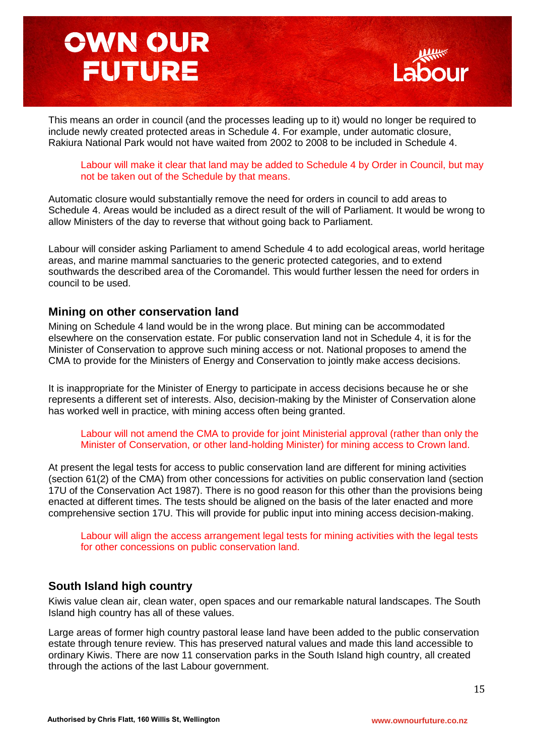

This means an order in council (and the processes leading up to it) would no longer be required to include newly created protected areas in Schedule 4. For example, under automatic closure, Rakiura National Park would not have waited from 2002 to 2008 to be included in Schedule 4.

Labour will make it clear that land may be added to Schedule 4 by Order in Council, but may not be taken out of the Schedule by that means.

Automatic closure would substantially remove the need for orders in council to add areas to Schedule 4. Areas would be included as a direct result of the will of Parliament. It would be wrong to allow Ministers of the day to reverse that without going back to Parliament.

Labour will consider asking Parliament to amend Schedule 4 to add ecological areas, world heritage areas, and marine mammal sanctuaries to the generic protected categories, and to extend southwards the described area of the Coromandel. This would further lessen the need for orders in council to be used.

#### **Mining on other conservation land**

Mining on Schedule 4 land would be in the wrong place. But mining can be accommodated elsewhere on the conservation estate. For public conservation land not in Schedule 4, it is for the Minister of Conservation to approve such mining access or not. National proposes to amend the CMA to provide for the Ministers of Energy and Conservation to jointly make access decisions.

It is inappropriate for the Minister of Energy to participate in access decisions because he or she represents a different set of interests. Also, decision-making by the Minister of Conservation alone has worked well in practice, with mining access often being granted.

Labour will not amend the CMA to provide for joint Ministerial approval (rather than only the Minister of Conservation, or other land-holding Minister) for mining access to Crown land.

At present the legal tests for access to public conservation land are different for mining activities (section 61(2) of the CMA) from other concessions for activities on public conservation land (section 17U of the Conservation Act 1987). There is no good reason for this other than the provisions being enacted at different times. The tests should be aligned on the basis of the later enacted and more comprehensive section 17U. This will provide for public input into mining access decision-making.

Labour will align the access arrangement legal tests for mining activities with the legal tests for other concessions on public conservation land.

#### **South Island high country**

Kiwis value clean air, clean water, open spaces and our remarkable natural landscapes. The South Island high country has all of these values.

Large areas of former high country pastoral lease land have been added to the public conservation estate through tenure review. This has preserved natural values and made this land accessible to ordinary Kiwis. There are now 11 conservation parks in the South Island high country, all created through the actions of the last Labour government.